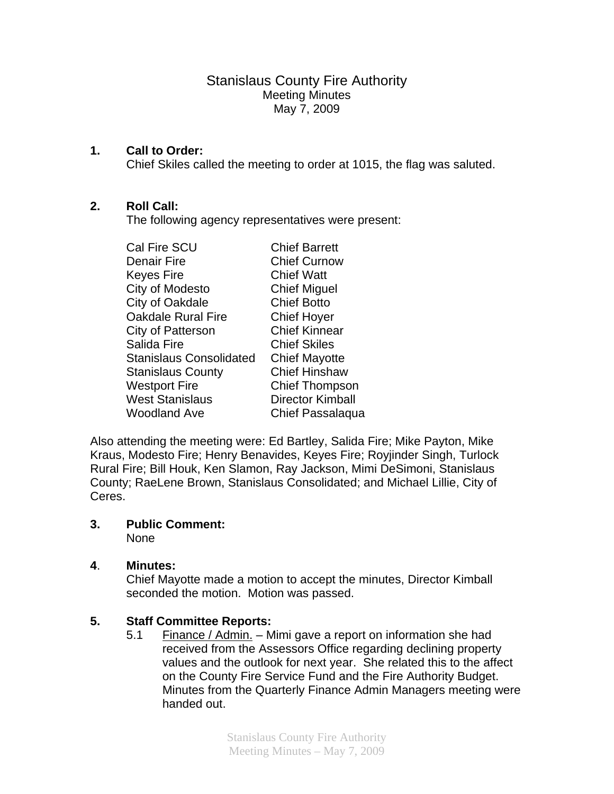Stanislaus County Fire Authority Meeting Minutes May 7, 2009

#### **1. Call to Order:**

Chief Skiles called the meeting to order at 1015, the flag was saluted.

### **2. Roll Call:**

The following agency representatives were present:

| <b>Cal Fire SCU</b>            | <b>Chief Barrett</b>    |
|--------------------------------|-------------------------|
| <b>Denair Fire</b>             | <b>Chief Curnow</b>     |
| <b>Keyes Fire</b>              | <b>Chief Watt</b>       |
| City of Modesto                | <b>Chief Miguel</b>     |
| City of Oakdale                | <b>Chief Botto</b>      |
| <b>Oakdale Rural Fire</b>      | <b>Chief Hoyer</b>      |
| City of Patterson              | <b>Chief Kinnear</b>    |
| Salida Fire                    | <b>Chief Skiles</b>     |
| <b>Stanislaus Consolidated</b> | <b>Chief Mayotte</b>    |
| <b>Stanislaus County</b>       | <b>Chief Hinshaw</b>    |
| <b>Westport Fire</b>           | <b>Chief Thompson</b>   |
| <b>West Stanislaus</b>         | <b>Director Kimball</b> |
| <b>Woodland Ave</b>            | Chief Passalaqua        |

Also attending the meeting were: Ed Bartley, Salida Fire; Mike Payton, Mike Kraus, Modesto Fire; Henry Benavides, Keyes Fire; Royjinder Singh, Turlock Rural Fire; Bill Houk, Ken Slamon, Ray Jackson, Mimi DeSimoni, Stanislaus County; RaeLene Brown, Stanislaus Consolidated; and Michael Lillie, City of Ceres.

# **3. Public Comment:**

None

### **4**. **Minutes:**

Chief Mayotte made a motion to accept the minutes, Director Kimball seconded the motion. Motion was passed.

### **5. Staff Committee Reports:**

5.1 Finance / Admin. – Mimi gave a report on information she had received from the Assessors Office regarding declining property values and the outlook for next year. She related this to the affect on the County Fire Service Fund and the Fire Authority Budget. Minutes from the Quarterly Finance Admin Managers meeting were handed out.